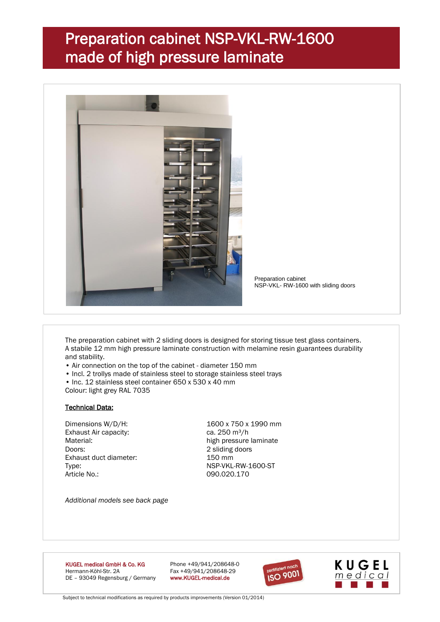## Preparation cabinet NSP-VKL-RW-1600 made of high pressure laminate



Preparation cabinet NSP-VKL- RW-1600 with sliding doors

The preparation cabinet with 2 sliding doors is designed for storing tissue test glass containers. A stabile 12 mm high pressure laminate construction with melamine resin guarantees durability and stability.

- Air connection on the top of the cabinet diameter 150 mm
- Incl. 2 trollys made of stainless steel to storage stainless steel trays
- Inc. 12 stainless steel container 650 x 530 x 40 mm

Colour: light grey RAL 7035

#### Technical Data:

Exhaust Air capacity: ca. 250 m<sup>3</sup>/h Doors: 2 sliding doors Exhaust duct diameter: 150 mm Type: NSP-VKL-RW-1600-ST Article No.: 090.020.170

Dimensions W/D/H: 1600 x 750 x 1990 mm Material: high pressure laminate

*Additional models see back page*

KUGEL medical GmbH & Co. KG Phone +49/941/208648-0 Hermann-Köhl-Str. 2A Fax +49/941/208648-29<br>DE - 93049 Regensburg / Germany www.KUGEL-medical.de DE - 93049 Regensburg / Germany





Subject to technical modifications as required by products improvements (Version 01/2014)